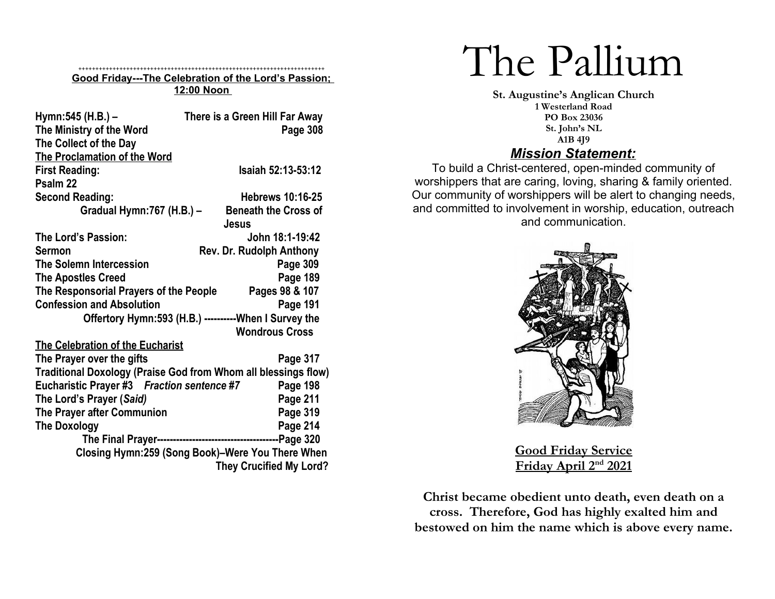#### ++++++++++++++++++++++++++++++++++++++++++++++++++++++++++++++++++++++++ **Good Friday---The Celebration of the Lord's Passion; 12:00 Noon**

| Hymn: 545 (H.B.) -<br>The Ministry of the Word<br>The Collect of the Day | There is a Green Hill Far Away<br>Page 308             |  |
|--------------------------------------------------------------------------|--------------------------------------------------------|--|
| The Proclamation of the Word                                             |                                                        |  |
| <b>First Reading:</b>                                                    | <b>Isaiah 52:13-53:12</b>                              |  |
| Psalm <sub>22</sub>                                                      |                                                        |  |
| <b>Second Reading:</b>                                                   | <b>Hebrews 10:16-25</b>                                |  |
|                                                                          | <b>Beneath the Cross of</b>                            |  |
| Gradual Hymn: 767 (H.B.) -                                               | Jesus                                                  |  |
| The Lord's Passion:                                                      | John 18:1-19:42                                        |  |
| <b>Sermon</b>                                                            | Rev. Dr. Rudolph Anthony                               |  |
| <b>The Solemn Intercession</b>                                           | Page 309                                               |  |
| <b>The Apostles Creed</b>                                                | Page 189                                               |  |
| The Responsorial Prayers of the People                                   | Pages 98 & 107                                         |  |
| <b>Confession and Absolution</b>                                         | Page 191                                               |  |
|                                                                          | Offertory Hymn: 593 (H.B.) ----------When I Survey the |  |
|                                                                          | <b>Wondrous Cross</b>                                  |  |
| The Celebration of the Eucharist                                         |                                                        |  |
| The Prayer over the gifts                                                | Page 317                                               |  |
| Traditional Doxology (Praise God from Whom all blessings flow)           |                                                        |  |
| Eucharistic Prayer #3 Fraction sentence #7                               | Page 198                                               |  |
| The Lord's Prayer (Said)                                                 | Page 211                                               |  |
| The Prayer after Communion                                               | Page 319                                               |  |
| <b>The Doxology</b>                                                      | Page 214                                               |  |
|                                                                          |                                                        |  |
|                                                                          | Closing Hymn:259 (Song Book)-Were You There When       |  |
|                                                                          | <b>They Crucified My Lord?</b>                         |  |
|                                                                          |                                                        |  |

# The Pallium

**St. Augustine's Anglican Church 1 Westerland Road PO Box 23036 St. John's NL A1B 4J9** *Mission Statement:*

To build a Christ-centered, open-minded community of worshippers that are caring, loving, sharing & family oriented. Our community of worshippers will be alert to changing needs, and committed to involvement in worship, education, outreach and communication.



**Good Friday Service Friday April 2nd 2021**

**Christ became obedient unto death, even death on a cross. Therefore, God has highly exalted him and bestowed on him the name which is above every name.**